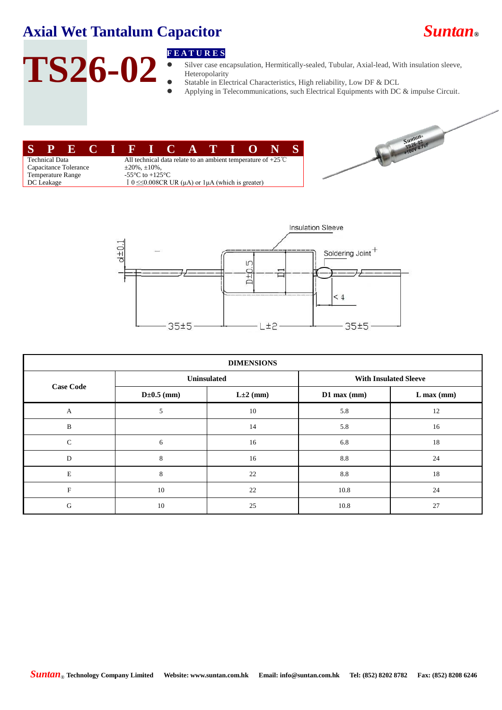## **Axial Wet Tantalum Capacitor** *Suntan***®**

# **TS26-02**

### **F E A T U R E S**

- Silver case encapsulation, Hermitically-sealed, Tubular, Axial-lead, With insulation sleeve, Heteropolarity
- Statable in Electrical Characteristics, High reliability, Low DF & DCL
	- Applying in Telecommunications, such Electrical Equipments with DC & impulse Circuit.

|                          |                       |  |  |  |                                                                        |  |  |  |  |  | SPECIFICATIO |  |  |
|--------------------------|-----------------------|--|--|--|------------------------------------------------------------------------|--|--|--|--|--|--------------|--|--|
|                          | <b>Technical Data</b> |  |  |  | All technical data relate to an ambient temperature of $+25^{\circ}$ C |  |  |  |  |  |              |  |  |
| Capacitance Tolerance    |                       |  |  |  | $\pm 20\%$ , $\pm 10\%$ ,                                              |  |  |  |  |  |              |  |  |
| <b>Temperature Range</b> |                       |  |  |  | $-55 \text{ C}$ to $+125 \text{ C}$                                    |  |  |  |  |  |              |  |  |
|                          | DC Leakage            |  |  |  | I 0 $\leq$ 0.008CR UR ( $\mu$ A) or 1 $\mu$ A (which is greater)       |  |  |  |  |  |              |  |  |





| <b>DIMENSIONS</b> |                  |                |                              |              |  |  |  |  |  |  |
|-------------------|------------------|----------------|------------------------------|--------------|--|--|--|--|--|--|
|                   | Uninsulated      |                | <b>With Insulated Sleeve</b> |              |  |  |  |  |  |  |
| <b>Case Code</b>  | $D \pm 0.5$ (mm) | $L \pm 2$ (mm) | $D1$ max (mm)                | $L$ max (mm) |  |  |  |  |  |  |
| $\mathbf{A}$      | 5                | 10             | 5.8                          | 12           |  |  |  |  |  |  |
| $\, {\bf B}$      |                  | 14             | 5.8                          | 16           |  |  |  |  |  |  |
| $\mathsf{C}$      | 6                | 16             | 6.8                          | 18           |  |  |  |  |  |  |
| D                 | 8                | 16             | 8.8                          | 24           |  |  |  |  |  |  |
| $\mathbf E$       | 8                | 22             | 8.8                          | 18           |  |  |  |  |  |  |
| F                 | 10               | 22             | 10.8                         | 24           |  |  |  |  |  |  |
| G                 | 10               | 25             | 10.8                         | 27           |  |  |  |  |  |  |